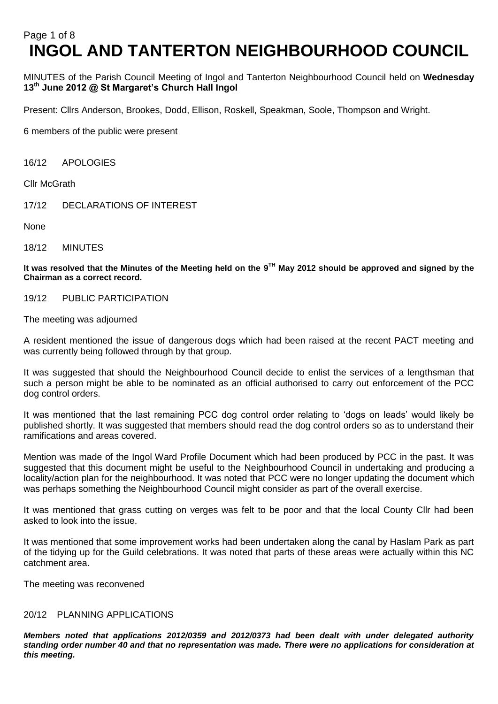# Page 1 of 8 **INGOL AND TANTERTON NEIGHBOURHOOD COUNCIL**

MINUTES of the Parish Council Meeting of Ingol and Tanterton Neighbourhood Council held on **Wednesday 13th June 2012 @ St Margaret's Church Hall Ingol** 

Present: Cllrs Anderson, Brookes, Dodd, Ellison, Roskell, Speakman, Soole, Thompson and Wright.

6 members of the public were present

16/12 APOLOGIES

Cllr McGrath

17/12 DECLARATIONS OF INTEREST

None

18/12 MINUTES

**It was resolved that the Minutes of the Meeting held on the 9 TH May 2012 should be approved and signed by the Chairman as a correct record.**

19/12 PUBLIC PARTICIPATION

The meeting was adjourned

A resident mentioned the issue of dangerous dogs which had been raised at the recent PACT meeting and was currently being followed through by that group.

It was suggested that should the Neighbourhood Council decide to enlist the services of a lengthsman that such a person might be able to be nominated as an official authorised to carry out enforcement of the PCC dog control orders.

It was mentioned that the last remaining PCC dog control order relating to 'dogs on leads' would likely be published shortly. It was suggested that members should read the dog control orders so as to understand their ramifications and areas covered.

Mention was made of the Ingol Ward Profile Document which had been produced by PCC in the past. It was suggested that this document might be useful to the Neighbourhood Council in undertaking and producing a locality/action plan for the neighbourhood. It was noted that PCC were no longer updating the document which was perhaps something the Neighbourhood Council might consider as part of the overall exercise.

It was mentioned that grass cutting on verges was felt to be poor and that the local County Cllr had been asked to look into the issue.

It was mentioned that some improvement works had been undertaken along the canal by Haslam Park as part of the tidying up for the Guild celebrations. It was noted that parts of these areas were actually within this NC catchment area.

The meeting was reconvened

#### 20/12 PLANNING APPLICATIONS

*Members noted that applications 2012/0359 and 2012/0373 had been dealt with under delegated authority standing order number 40 and that no representation was made. There were no applications for consideration at this meeting.*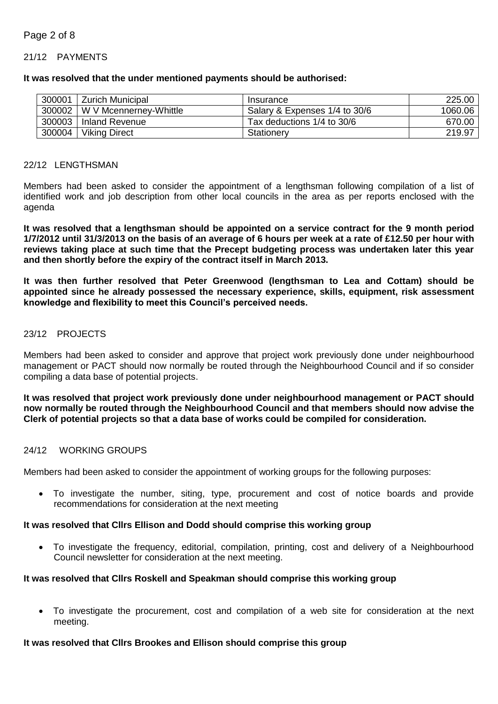# Page 2 of 8

#### 21/12 PAYMENTS

#### **It was resolved that the under mentioned payments should be authorised:**

| 300001 | <b>Zurich Municipal</b> | Insurance                     | 225.00  |
|--------|-------------------------|-------------------------------|---------|
| 300002 | W V Mcennerney-Whittle  | Salary & Expenses 1/4 to 30/6 | 1060.06 |
| 300003 | l Inland Revenue        | Tax deductions 1/4 to 30/6    | 670.00  |
| 300004 | <b>Viking Direct</b>    | Stationery                    | 219.97  |

#### 22/12 LENGTHSMAN

Members had been asked to consider the appointment of a lengthsman following compilation of a list of identified work and job description from other local councils in the area as per reports enclosed with the agenda

**It was resolved that a lengthsman should be appointed on a service contract for the 9 month period 1/7/2012 until 31/3/2013 on the basis of an average of 6 hours per week at a rate of £12.50 per hour with reviews taking place at such time that the Precept budgeting process was undertaken later this year and then shortly before the expiry of the contract itself in March 2013.**

**It was then further resolved that Peter Greenwood (lengthsman to Lea and Cottam) should be appointed since he already possessed the necessary experience, skills, equipment, risk assessment knowledge and flexibility to meet this Council's perceived needs.**

## 23/12 PROJECTS

Members had been asked to consider and approve that project work previously done under neighbourhood management or PACT should now normally be routed through the Neighbourhood Council and if so consider compiling a data base of potential projects.

**It was resolved that project work previously done under neighbourhood management or PACT should now normally be routed through the Neighbourhood Council and that members should now advise the Clerk of potential projects so that a data base of works could be compiled for consideration.**

#### 24/12 WORKING GROUPS

Members had been asked to consider the appointment of working groups for the following purposes:

 To investigate the number, siting, type, procurement and cost of notice boards and provide recommendations for consideration at the next meeting

#### **It was resolved that Cllrs Ellison and Dodd should comprise this working group**

 To investigate the frequency, editorial, compilation, printing, cost and delivery of a Neighbourhood Council newsletter for consideration at the next meeting.

#### **It was resolved that Cllrs Roskell and Speakman should comprise this working group**

 To investigate the procurement, cost and compilation of a web site for consideration at the next meeting.

#### **It was resolved that Cllrs Brookes and Ellison should comprise this group**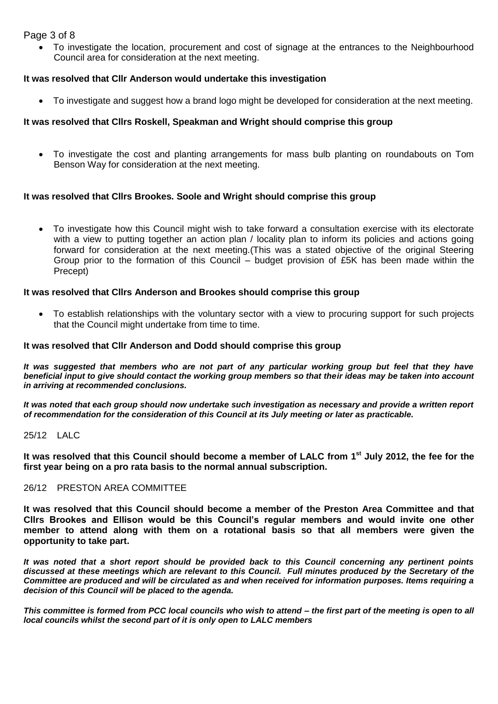# Page 3 of 8

 To investigate the location, procurement and cost of signage at the entrances to the Neighbourhood Council area for consideration at the next meeting.

# **It was resolved that Cllr Anderson would undertake this investigation**

To investigate and suggest how a brand logo might be developed for consideration at the next meeting.

# **It was resolved that Cllrs Roskell, Speakman and Wright should comprise this group**

 To investigate the cost and planting arrangements for mass bulb planting on roundabouts on Tom Benson Way for consideration at the next meeting.

# **It was resolved that Cllrs Brookes. Soole and Wright should comprise this group**

 To investigate how this Council might wish to take forward a consultation exercise with its electorate with a view to putting together an action plan / locality plan to inform its policies and actions going forward for consideration at the next meeting.(This was a stated objective of the original Steering Group prior to the formation of this Council – budget provision of £5K has been made within the Precept)

## **It was resolved that Cllrs Anderson and Brookes should comprise this group**

 To establish relationships with the voluntary sector with a view to procuring support for such projects that the Council might undertake from time to time.

## **It was resolved that Cllr Anderson and Dodd should comprise this group**

*It was suggested that members who are not part of any particular working group but feel that they have beneficial input to give should contact the working group members so that their ideas may be taken into account in arriving at recommended conclusions.*

*It was noted that each group should now undertake such investigation as necessary and provide a written report of recommendation for the consideration of this Council at its July meeting or later as practicable.*

# 25/12 LALC

**It was resolved that this Council should become a member of LALC from 1st July 2012, the fee for the first year being on a pro rata basis to the normal annual subscription.**

#### 26/12 PRESTON AREA COMMITTEE

**It was resolved that this Council should become a member of the Preston Area Committee and that Cllrs Brookes and Ellison would be this Council's regular members and would invite one other member to attend along with them on a rotational basis so that all members were given the opportunity to take part.**

*It was noted that a short report should be provided back to this Council concerning any pertinent points discussed at these meetings which are relevant to this Council. Full minutes produced by the Secretary of the Committee are produced and will be circulated as and when received for information purposes. Items requiring a decision of this Council will be placed to the agenda.*

*This committee is formed from PCC local councils who wish to attend – the first part of the meeting is open to all local councils whilst the second part of it is only open to LALC members*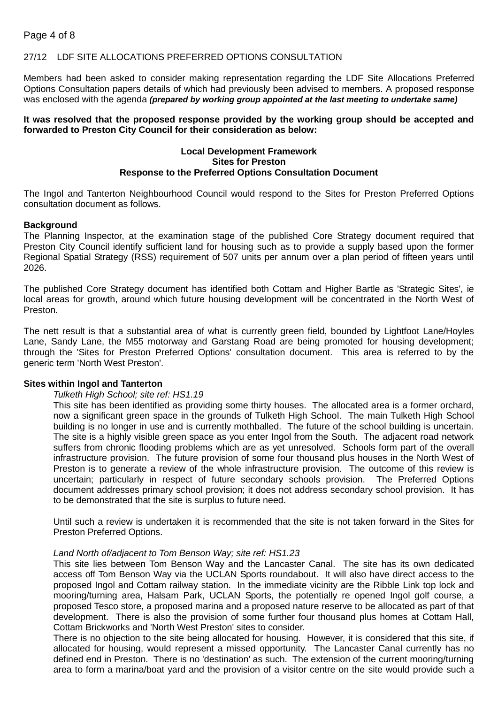# 27/12 LDF SITE ALLOCATIONS PREFERRED OPTIONS CONSULTATION

Members had been asked to consider making representation regarding the LDF Site Allocations Preferred Options Consultation papers details of which had previously been advised to members. A proposed response was enclosed with the agenda *(prepared by working group appointed at the last meeting to undertake same)*

## **It was resolved that the proposed response provided by the working group should be accepted and forwarded to Preston City Council for their consideration as below:**

## **Local Development Framework Sites for Preston Response to the Preferred Options Consultation Document**

The Ingol and Tanterton Neighbourhood Council would respond to the Sites for Preston Preferred Options consultation document as follows.

## **Background**

The Planning Inspector, at the examination stage of the published Core Strategy document required that Preston City Council identify sufficient land for housing such as to provide a supply based upon the former Regional Spatial Strategy (RSS) requirement of 507 units per annum over a plan period of fifteen years until 2026.

The published Core Strategy document has identified both Cottam and Higher Bartle as 'Strategic Sites', ie local areas for growth, around which future housing development will be concentrated in the North West of Preston.

The nett result is that a substantial area of what is currently green field, bounded by Lightfoot Lane/Hoyles Lane, Sandy Lane, the M55 motorway and Garstang Road are being promoted for housing development; through the 'Sites for Preston Preferred Options' consultation document. This area is referred to by the generic term 'North West Preston'.

#### **Sites within Ingol and Tanterton**

#### *Tulketh High School; site ref: HS1.19*

This site has been identified as providing some thirty houses. The allocated area is a former orchard, now a significant green space in the grounds of Tulketh High School. The main Tulketh High School building is no longer in use and is currently mothballed. The future of the school building is uncertain. The site is a highly visible green space as you enter Ingol from the South. The adjacent road network suffers from chronic flooding problems which are as yet unresolved. Schools form part of the overall infrastructure provision. The future provision of some four thousand plus houses in the North West of Preston is to generate a review of the whole infrastructure provision. The outcome of this review is uncertain; particularly in respect of future secondary schools provision. The Preferred Options document addresses primary school provision; it does not address secondary school provision. It has to be demonstrated that the site is surplus to future need.

Until such a review is undertaken it is recommended that the site is not taken forward in the Sites for Preston Preferred Options.

#### *Land North of/adjacent to Tom Benson Way; site ref: HS1.23*

This site lies between Tom Benson Way and the Lancaster Canal. The site has its own dedicated access off Tom Benson Way via the UCLAN Sports roundabout. It will also have direct access to the proposed Ingol and Cottam railway station. In the immediate vicinity are the Ribble Link top lock and mooring/turning area, Halsam Park, UCLAN Sports, the potentially re opened Ingol golf course, a proposed Tesco store, a proposed marina and a proposed nature reserve to be allocated as part of that development. There is also the provision of some further four thousand plus homes at Cottam Hall, Cottam Brickworks and 'North West Preston' sites to consider.

There is no objection to the site being allocated for housing. However, it is considered that this site, if allocated for housing, would represent a missed opportunity. The Lancaster Canal currently has no defined end in Preston. There is no 'destination' as such. The extension of the current mooring/turning area to form a marina/boat yard and the provision of a visitor centre on the site would provide such a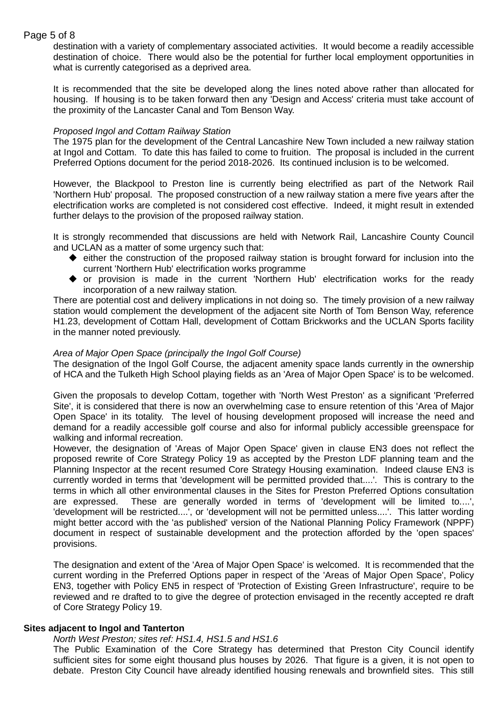# Page 5 of 8

destination with a variety of complementary associated activities. It would become a readily accessible destination of choice. There would also be the potential for further local employment opportunities in what is currently categorised as a deprived area.

It is recommended that the site be developed along the lines noted above rather than allocated for housing. If housing is to be taken forward then any 'Design and Access' criteria must take account of the proximity of the Lancaster Canal and Tom Benson Way.

## *Proposed Ingol and Cottam Railway Station*

The 1975 plan for the development of the Central Lancashire New Town included a new railway station at Ingol and Cottam. To date this has failed to come to fruition. The proposal is included in the current Preferred Options document for the period 2018-2026. Its continued inclusion is to be welcomed.

However, the Blackpool to Preston line is currently being electrified as part of the Network Rail 'Northern Hub' proposal. The proposed construction of a new railway station a mere five years after the electrification works are completed is not considered cost effective. Indeed, it might result in extended further delays to the provision of the proposed railway station.

It is strongly recommended that discussions are held with Network Rail, Lancashire County Council and UCLAN as a matter of some urgency such that:

- either the construction of the proposed railway station is brought forward for inclusion into the current 'Northern Hub' electrification works programme
- or provision is made in the current 'Northern Hub' electrification works for the ready incorporation of a new railway station.

There are potential cost and delivery implications in not doing so. The timely provision of a new railway station would complement the development of the adjacent site North of Tom Benson Way, reference H1.23, development of Cottam Hall, development of Cottam Brickworks and the UCLAN Sports facility in the manner noted previously.

## *Area of Major Open Space (principally the Ingol Golf Course)*

The designation of the Ingol Golf Course, the adjacent amenity space lands currently in the ownership of HCA and the Tulketh High School playing fields as an 'Area of Major Open Space' is to be welcomed.

Given the proposals to develop Cottam, together with 'North West Preston' as a significant 'Preferred Site', it is considered that there is now an overwhelming case to ensure retention of this 'Area of Major Open Space' in its totality. The level of housing development proposed will increase the need and demand for a readily accessible golf course and also for informal publicly accessible greenspace for walking and informal recreation.

However, the designation of 'Areas of Major Open Space' given in clause EN3 does not reflect the proposed rewrite of Core Strategy Policy 19 as accepted by the Preston LDF planning team and the Planning Inspector at the recent resumed Core Strategy Housing examination. Indeed clause EN3 is currently worded in terms that 'development will be permitted provided that....'. This is contrary to the terms in which all other environmental clauses in the Sites for Preston Preferred Options consultation are expressed. These are generally worded in terms of 'development will be limited to....', 'development will be restricted....', or 'development will not be permitted unless....'. This latter wording might better accord with the 'as published' version of the National Planning Policy Framework (NPPF) document in respect of sustainable development and the protection afforded by the 'open spaces' provisions.

The designation and extent of the 'Area of Major Open Space' is welcomed. It is recommended that the current wording in the Preferred Options paper in respect of the 'Areas of Major Open Space', Policy EN3, together with Policy EN5 in respect of 'Protection of Existing Green Infrastructure', require to be reviewed and re drafted to to give the degree of protection envisaged in the recently accepted re draft of Core Strategy Policy 19.

#### **Sites adjacent to Ingol and Tanterton**

#### *North West Preston; sites ref: HS1.4, HS1.5 and HS1.6*

The Public Examination of the Core Strategy has determined that Preston City Council identify sufficient sites for some eight thousand plus houses by 2026. That figure is a given, it is not open to debate. Preston City Council have already identified housing renewals and brownfield sites. This still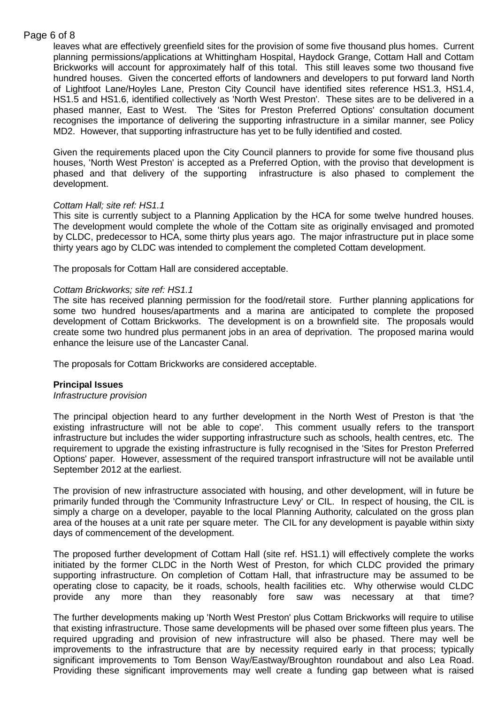# Page 6 of 8

leaves what are effectively greenfield sites for the provision of some five thousand plus homes. Current planning permissions/applications at Whittingham Hospital, Haydock Grange, Cottam Hall and Cottam Brickworks will account for approximately half of this total. This still leaves some two thousand five hundred houses. Given the concerted efforts of landowners and developers to put forward land North of Lightfoot Lane/Hoyles Lane, Preston City Council have identified sites reference HS1.3, HS1.4, HS1.5 and HS1.6, identified collectively as 'North West Preston'. These sites are to be delivered in a phased manner, East to West. The 'Sites for Preston Preferred Options' consultation document recognises the importance of delivering the supporting infrastructure in a similar manner, see Policy MD2. However, that supporting infrastructure has yet to be fully identified and costed.

Given the requirements placed upon the City Council planners to provide for some five thousand plus houses, 'North West Preston' is accepted as a Preferred Option, with the proviso that development is phased and that delivery of the supporting infrastructure is also phased to complement the development.

# *Cottam Hall; site ref: HS1.1*

This site is currently subject to a Planning Application by the HCA for some twelve hundred houses. The development would complete the whole of the Cottam site as originally envisaged and promoted by CLDC, predecessor to HCA, some thirty plus years ago. The major infrastructure put in place some thirty years ago by CLDC was intended to complement the completed Cottam development.

The proposals for Cottam Hall are considered acceptable.

## *Cottam Brickworks; site ref: HS1.1*

The site has received planning permission for the food/retail store. Further planning applications for some two hundred houses/apartments and a marina are anticipated to complete the proposed development of Cottam Brickworks. The development is on a brownfield site. The proposals would create some two hundred plus permanent jobs in an area of deprivation. The proposed marina would enhance the leisure use of the Lancaster Canal.

The proposals for Cottam Brickworks are considered acceptable.

#### **Principal Issues**

#### *Infrastructure provision*

The principal objection heard to any further development in the North West of Preston is that 'the existing infrastructure will not be able to cope'. This comment usually refers to the transport infrastructure but includes the wider supporting infrastructure such as schools, health centres, etc. The requirement to upgrade the existing infrastructure is fully recognised in the 'Sites for Preston Preferred Options' paper. However, assessment of the required transport infrastructure will not be available until September 2012 at the earliest.

The provision of new infrastructure associated with housing, and other development, will in future be primarily funded through the 'Community Infrastructure Levy' or CIL. In respect of housing, the CIL is simply a charge on a developer, payable to the local Planning Authority, calculated on the gross plan area of the houses at a unit rate per square meter. The CIL for any development is payable within sixty days of commencement of the development.

The proposed further development of Cottam Hall (site ref. HS1.1) will effectively complete the works initiated by the former CLDC in the North West of Preston, for which CLDC provided the primary supporting infrastructure. On completion of Cottam Hall, that infrastructure may be assumed to be operating close to capacity, be it roads, schools, health facilities etc. Why otherwise would CLDC provide any more than they reasonably fore saw was necessary at that time?

The further developments making up 'North West Preston' plus Cottam Brickworks will require to utilise that existing infrastructure. Those same developments will be phased over some fifteen plus years. The required upgrading and provision of new infrastructure will also be phased. There may well be improvements to the infrastructure that are by necessity required early in that process; typically significant improvements to Tom Benson Way/Eastway/Broughton roundabout and also Lea Road. Providing these significant improvements may well create a funding gap between what is raised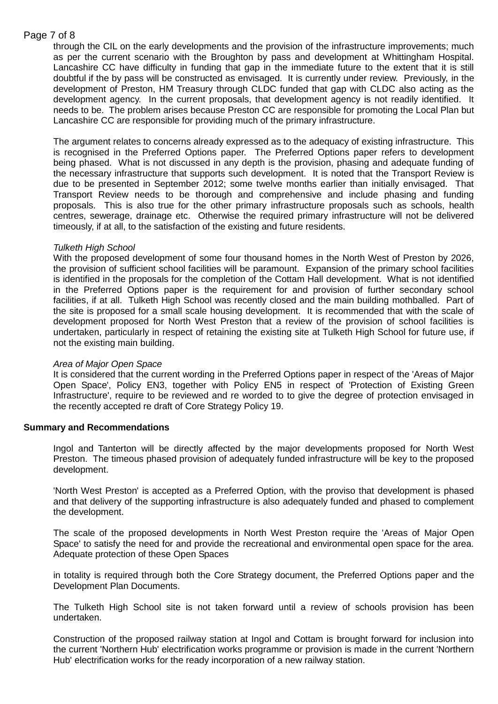# Page 7 of 8

through the CIL on the early developments and the provision of the infrastructure improvements; much as per the current scenario with the Broughton by pass and development at Whittingham Hospital. Lancashire CC have difficulty in funding that gap in the immediate future to the extent that it is still doubtful if the by pass will be constructed as envisaged. It is currently under review. Previously, in the development of Preston, HM Treasury through CLDC funded that gap with CLDC also acting as the development agency. In the current proposals, that development agency is not readily identified. It needs to be. The problem arises because Preston CC are responsible for promoting the Local Plan but Lancashire CC are responsible for providing much of the primary infrastructure.

The argument relates to concerns already expressed as to the adequacy of existing infrastructure. This is recognised in the Preferred Options paper. The Preferred Options paper refers to development being phased. What is not discussed in any depth is the provision, phasing and adequate funding of the necessary infrastructure that supports such development. It is noted that the Transport Review is due to be presented in September 2012; some twelve months earlier than initially envisaged. That Transport Review needs to be thorough and comprehensive and include phasing and funding proposals. This is also true for the other primary infrastructure proposals such as schools, health centres, sewerage, drainage etc. Otherwise the required primary infrastructure will not be delivered timeously, if at all, to the satisfaction of the existing and future residents.

# *Tulketh High School*

With the proposed development of some four thousand homes in the North West of Preston by 2026, the provision of sufficient school facilities will be paramount. Expansion of the primary school facilities is identified in the proposals for the completion of the Cottam Hall development. What is not identified in the Preferred Options paper is the requirement for and provision of further secondary school facilities, if at all. Tulketh High School was recently closed and the main building mothballed. Part of the site is proposed for a small scale housing development. It is recommended that with the scale of development proposed for North West Preston that a review of the provision of school facilities is undertaken, particularly in respect of retaining the existing site at Tulketh High School for future use, if not the existing main building.

#### *Area of Major Open Space*

It is considered that the current wording in the Preferred Options paper in respect of the 'Areas of Major Open Space', Policy EN3, together with Policy EN5 in respect of 'Protection of Existing Green Infrastructure', require to be reviewed and re worded to to give the degree of protection envisaged in the recently accepted re draft of Core Strategy Policy 19.

#### **Summary and Recommendations**

Ingol and Tanterton will be directly affected by the major developments proposed for North West Preston. The timeous phased provision of adequately funded infrastructure will be key to the proposed development.

'North West Preston' is accepted as a Preferred Option, with the proviso that development is phased and that delivery of the supporting infrastructure is also adequately funded and phased to complement the development.

The scale of the proposed developments in North West Preston require the 'Areas of Major Open Space' to satisfy the need for and provide the recreational and environmental open space for the area. Adequate protection of these Open Spaces

in totality is required through both the Core Strategy document, the Preferred Options paper and the Development Plan Documents.

The Tulketh High School site is not taken forward until a review of schools provision has been undertaken.

Construction of the proposed railway station at Ingol and Cottam is brought forward for inclusion into the current 'Northern Hub' electrification works programme or provision is made in the current 'Northern Hub' electrification works for the ready incorporation of a new railway station.